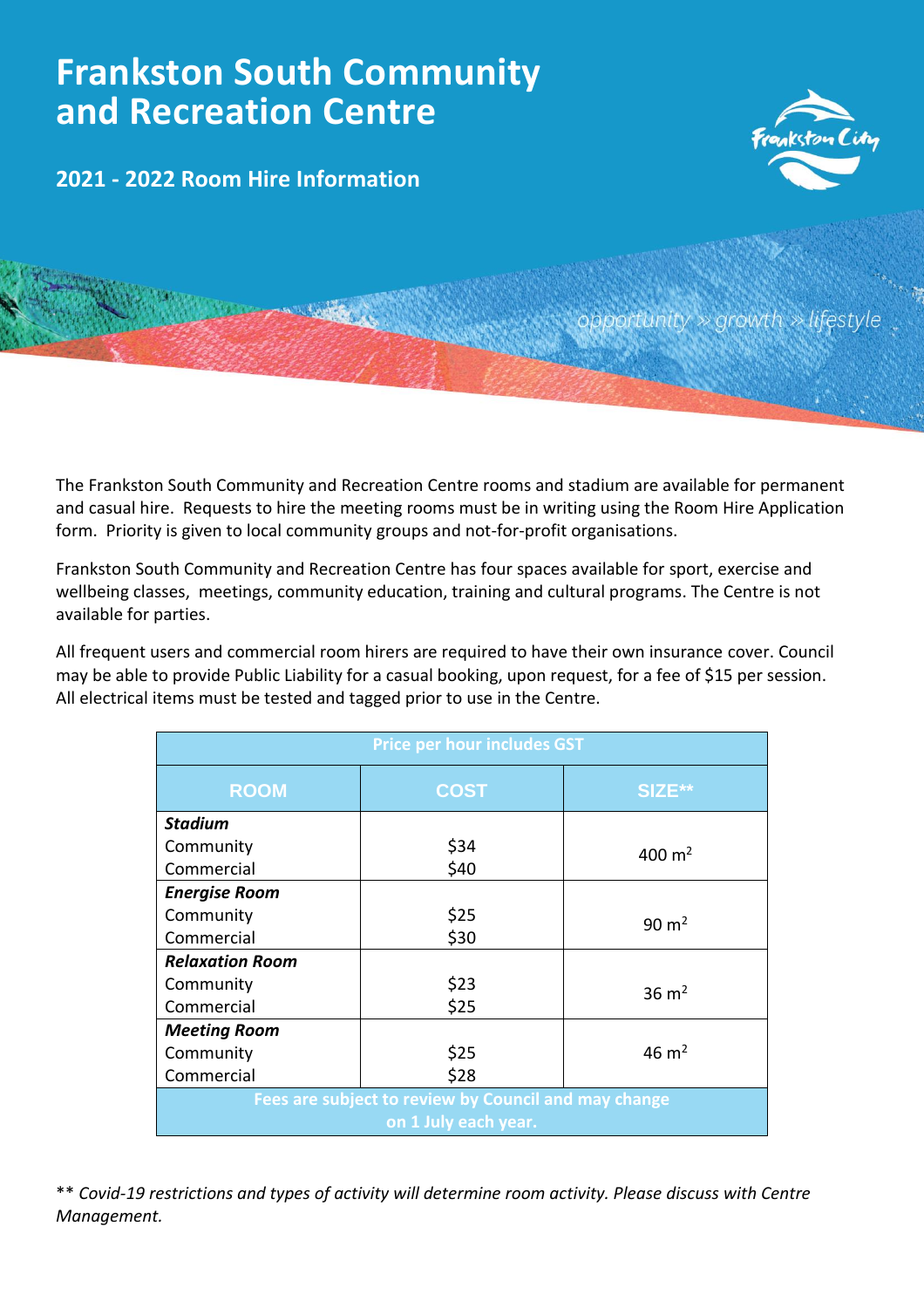## **Frankston South Community and Recreation Centre**

**2021 - 2022 Room Hire Information**



'ifestyle portunity  $\gg$  arowt

The Frankston South Community and Recreation Centre rooms and stadium are available for permanent and casual hire. Requests to hire the meeting rooms must be in writing using the Room Hire Application form. Priority is given to local community groups and not-for-profit organisations.

Frankston South Community and Recreation Centre has four spaces available for sport, exercise and wellbeing classes, meetings, community education, training and cultural programs. The Centre is not available for parties.

All frequent users and commercial room hirers are required to have their own insurance cover. Council may be able to provide Public Liability for a casual booking, upon request, for a fee of \$15 per session. All electrical items must be tested and tagged prior to use in the Centre.

| <b>Price per hour includes GST</b>                                           |             |                  |
|------------------------------------------------------------------------------|-------------|------------------|
| <b>ROOM</b>                                                                  | <b>COST</b> | SIZE**           |
| <b>Stadium</b>                                                               |             |                  |
| Community                                                                    | \$34        | 400 $m2$         |
| Commercial                                                                   | \$40        |                  |
| <b>Energise Room</b>                                                         |             |                  |
| Community                                                                    | \$25        | $90 \text{ m}^2$ |
| Commercial                                                                   | \$30        |                  |
| <b>Relaxation Room</b>                                                       |             |                  |
| Community                                                                    | \$23        | $36 \text{ m}^2$ |
| Commercial                                                                   | \$25        |                  |
| <b>Meeting Room</b>                                                          |             |                  |
| Community                                                                    | \$25        | $46 \text{ m}^2$ |
| Commercial                                                                   | \$28        |                  |
| Fees are subject to review by Council and may change<br>on 1 July each year. |             |                  |

\*\* *Covid-19 restrictions and types of activity will determine room activity. Please discuss with Centre Management.*